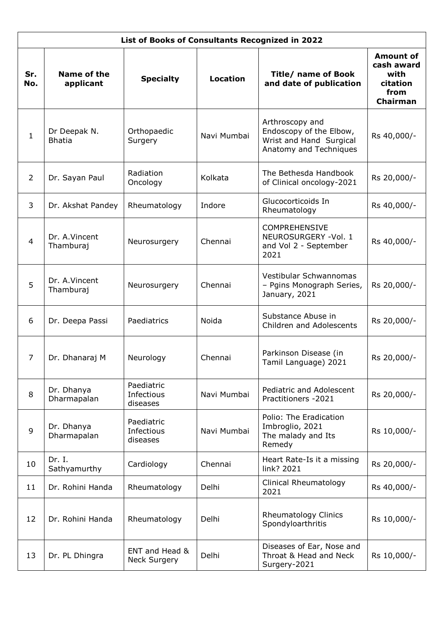| List of Books of Consultants Recognized in 2022 |                               |                                       |                 |                                                                                                 |                                                                        |  |  |  |  |
|-------------------------------------------------|-------------------------------|---------------------------------------|-----------------|-------------------------------------------------------------------------------------------------|------------------------------------------------------------------------|--|--|--|--|
| Sr.<br>No.                                      | Name of the<br>applicant      | <b>Specialty</b>                      | <b>Location</b> | <b>Title/ name of Book</b><br>and date of publication                                           | <b>Amount of</b><br>cash award<br>with<br>citation<br>from<br>Chairman |  |  |  |  |
| $\mathbf{1}$                                    | Dr Deepak N.<br><b>Bhatia</b> | Orthopaedic<br>Surgery                | Navi Mumbai     | Arthroscopy and<br>Endoscopy of the Elbow,<br>Wrist and Hand Surgical<br>Anatomy and Techniques | Rs 40,000/-                                                            |  |  |  |  |
| 2                                               | Dr. Sayan Paul                | Radiation<br>Oncology                 | Kolkata         | The Bethesda Handbook<br>of Clinical oncology-2021                                              | Rs 20,000/-                                                            |  |  |  |  |
| 3                                               | Dr. Akshat Pandey             | Rheumatology                          | Indore          | Glucocorticoids In<br>Rheumatology                                                              | Rs 40,000/-                                                            |  |  |  |  |
| $\overline{4}$                                  | Dr. A.Vincent<br>Thamburaj    | Neurosurgery                          | Chennai         | <b>COMPREHENSIVE</b><br>NEUROSURGERY - Vol. 1<br>and Vol 2 - September<br>2021                  | Rs 40,000/-                                                            |  |  |  |  |
| 5                                               | Dr. A.Vincent<br>Thamburaj    | Neurosurgery                          | Chennai         | Vestibular Schwannomas<br>- Pgins Monograph Series,<br>January, 2021                            | Rs 20,000/-                                                            |  |  |  |  |
| 6                                               | Dr. Deepa Passi               | Paediatrics                           | Noida           | Substance Abuse in<br>Children and Adolescents                                                  | Rs 20,000/-                                                            |  |  |  |  |
| 7                                               | Dr. Dhanaraj M                | Neurology                             | Chennai         | Parkinson Disease (in<br>Tamil Language) 2021                                                   | Rs 20,000/-                                                            |  |  |  |  |
| 8                                               | Dr. Dhanya<br>Dharmapalan     | Paediatric<br>Infectious<br>diseases  | Navi Mumbai     | Pediatric and Adolescent<br>Practitioners - 2021                                                | Rs 20,000/-                                                            |  |  |  |  |
| 9                                               | Dr. Dhanya<br>Dharmapalan     | Paediatric<br>Infectious<br>diseases  | Navi Mumbai     | Polio: The Eradication<br>Imbroglio, 2021<br>The malady and Its<br>Remedy                       | Rs 10,000/-                                                            |  |  |  |  |
| 10                                              | Dr. I.<br>Sathyamurthy        | Cardiology                            | Chennai         | Heart Rate-Is it a missing<br>link? 2021                                                        | Rs 20,000/-                                                            |  |  |  |  |
| 11                                              | Dr. Rohini Handa              | Rheumatology                          | Delhi           | Clinical Rheumatology<br>2021                                                                   | Rs 40,000/-                                                            |  |  |  |  |
| 12                                              | Dr. Rohini Handa              | Rheumatology                          | Delhi           | <b>Rheumatology Clinics</b><br>Spondyloarthritis                                                | Rs 10,000/-                                                            |  |  |  |  |
| 13                                              | Dr. PL Dhingra                | ENT and Head &<br><b>Neck Surgery</b> | Delhi           | Diseases of Ear, Nose and<br>Throat & Head and Neck<br>Surgery-2021                             | Rs 10,000/-                                                            |  |  |  |  |